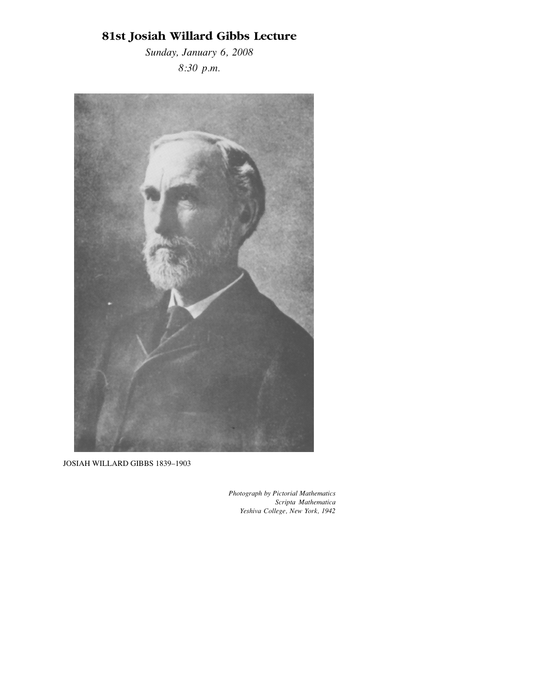## **81st Josiah Willard Gibbs Lecture**

*Sunday, January 6, 2008 8:30 p.m.*



JOSIAH WILLARD GIBBS 1839–1903

*Photograph by Pictorial Mathematics Scripta Mathematica Yeshiva College, New York, 1942*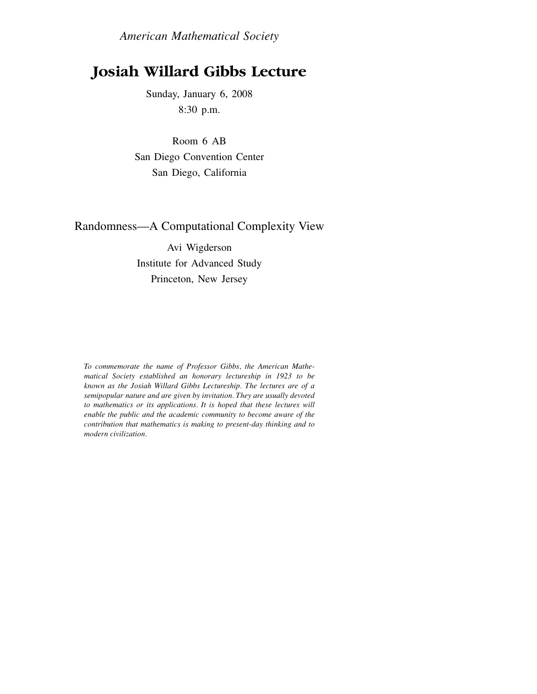*American Mathematical Society*

# **Josiah Willard Gibbs Lecture**

Sunday, January 6, 2008 8:30 p.m.

Room 6 AB San Diego Convention Center San Diego, California

Randomness—A Computational Complexity View

Avi Wigderson Institute for Advanced Study Princeton, New Jersey

*To commemorate the name of Professor Gibbs, the American Mathematical Society established an honorary lectureship in 1923 to be known as the Josiah Willard Gibbs Lectureship. The lectures are of a semipopular nature and are given by invitation. They are usually devoted to mathematics or its applications. It is hoped that these lectures will enable the public and the academic community to become aware of the contribution that mathematics is making to present-day thinking and to modern civilization.*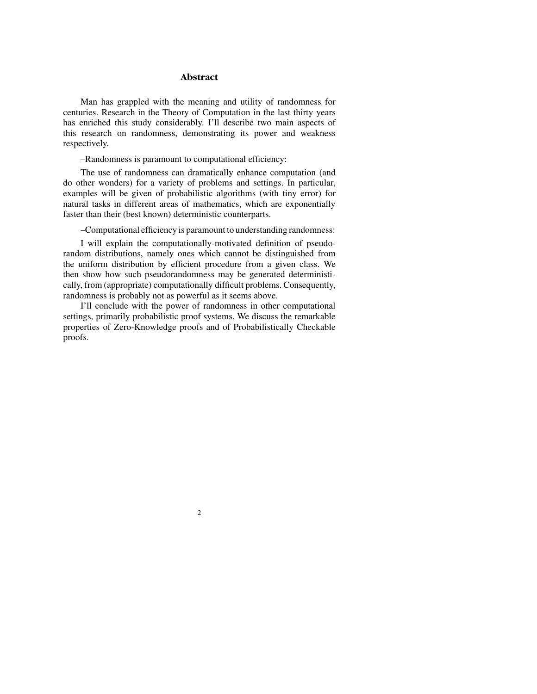### **Abstract**

Man has grappled with the meaning and utility of randomness for centuries. Research in the Theory of Computation in the last thirty years has enriched this study considerably. I'll describe two main aspects of this research on randomness, demonstrating its power and weakness respectively.

–Randomness is paramount to computational efficiency:

The use of randomness can dramatically enhance computation (and do other wonders) for a variety of problems and settings. In particular, examples will be given of probabilistic algorithms (with tiny error) for natural tasks in different areas of mathematics, which are exponentially faster than their (best known) deterministic counterparts.

–Computational efficiency is paramount to understanding randomness:

I will explain the computationally-motivated definition of pseudorandom distributions, namely ones which cannot be distinguished from the uniform distribution by efficient procedure from a given class. We then show how such pseudorandomness may be generated deterministically, from (appropriate) computationally difficult problems. Consequently, randomness is probably not as powerful as it seems above.

I'll conclude with the power of randomness in other computational settings, primarily probabilistic proof systems. We discuss the remarkable properties of Zero-Knowledge proofs and of Probabilistically Checkable proofs.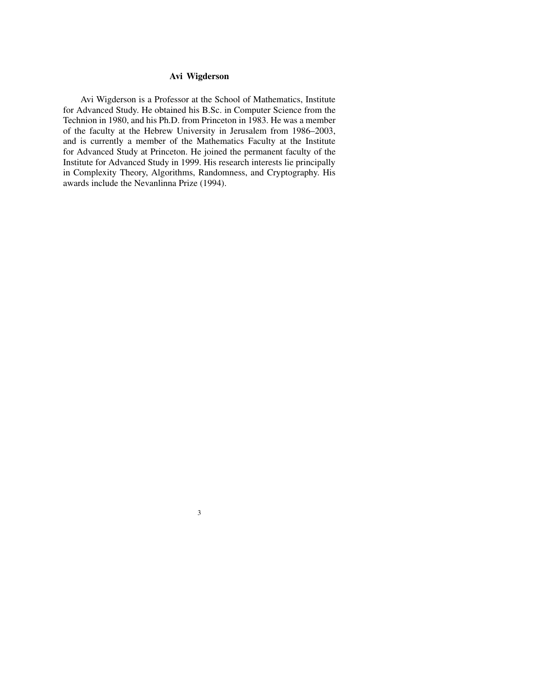### **Avi Wigderson**

Avi Wigderson is a Professor at the School of Mathematics, Institute for Advanced Study. He obtained his B.Sc. in Computer Science from the Technion in 1980, and his Ph.D. from Princeton in 1983. He was a member of the faculty at the Hebrew University in Jerusalem from 1986–2003, and is currently a member of the Mathematics Faculty at the Institute for Advanced Study at Princeton. He joined the permanent faculty of the Institute for Advanced Study in 1999. His research interests lie principally in Complexity Theory, Algorithms, Randomness, and Cryptography. His awards include the Nevanlinna Prize (1994).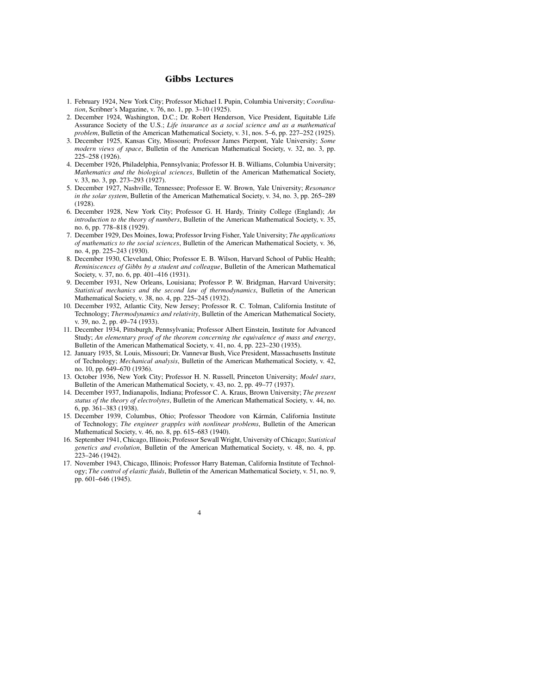#### **Gibbs Lectures**

- 1. February 1924, New York City; Professor Michael I. Pupin, Columbia University; *Coordination*, Scribner's Magazine, v. 76, no. 1, pp. 3–10 (1925).
- 2. December 1924, Washington, D.C.; Dr. Robert Henderson, Vice President, Equitable Life Assurance Society of the U.S.; *Life insurance as a social science and as a mathematical problem*, Bulletin of the American Mathematical Society, v. 31, nos. 5–6, pp. 227–252 (1925).
- 3. December 1925, Kansas City, Missouri; Professor James Pierpont, Yale University; *Some modern views of space*, Bulletin of the American Mathematical Society, v. 32, no. 3, pp. 225–258 (1926).
- 4. December 1926, Philadelphia, Pennsylvania; Professor H. B. Williams, Columbia University; *Mathematics and the biological sciences*, Bulletin of the American Mathematical Society, v. 33, no. 3, pp. 273–293 (1927).
- 5. December 1927, Nashville, Tennessee; Professor E. W. Brown, Yale University; *Resonance in the solar system*, Bulletin of the American Mathematical Society, v. 34, no. 3, pp. 265–289 (1928).
- 6. December 1928, New York City; Professor G. H. Hardy, Trinity College (England); *An introduction to the theory of numbers*, Bulletin of the American Mathematical Society, v. 35, no. 6, pp. 778–818 (1929).
- 7. December 1929, Des Moines, Iowa; Professor Irving Fisher, Yale University; *The applications of mathematics to the social sciences*, Bulletin of the American Mathematical Society, v. 36, no. 4, pp. 225–243 (1930).
- 8. December 1930, Cleveland, Ohio; Professor E. B. Wilson, Harvard School of Public Health; *Reminiscences of Gibbs by a student and colleague*, Bulletin of the American Mathematical Society, v. 37, no. 6, pp. 401-416 (1931).
- 9. December 1931, New Orleans, Louisiana; Professor P. W. Bridgman, Harvard University; *Statistical mechanics and the second law of thermodynamics*, Bulletin of the American Mathematical Society, v. 38, no. 4, pp. 225–245 (1932).
- 10. December 1932, Atlantic City, New Jersey; Professor R. C. Tolman, California Institute of Technology; *Thermodynamics and relativity*, Bulletin of the American Mathematical Society, v. 39, no. 2, pp. 49–74 (1933).
- 11. December 1934, Pittsburgh, Pennsylvania; Professor Albert Einstein, Institute for Advanced Study; *An elementary proof of the theorem concerning the equivalence of mass and energy*, Bulletin of the American Mathematical Society, v. 41, no. 4, pp. 223–230 (1935).
- 12. January 1935, St. Louis, Missouri; Dr. Vannevar Bush, Vice President, Massachusetts Institute of Technology; *Mechanical analysis*, Bulletin of the American Mathematical Society, v. 42, no. 10, pp. 649–670 (1936).
- 13. October 1936, New York City; Professor H. N. Russell, Princeton University; *Model stars*, Bulletin of the American Mathematical Society, v. 43, no. 2, pp. 49–77 (1937).
- 14. December 1937, Indianapolis, Indiana; Professor C. A. Kraus, Brown University; *The present status of the theory of electrolytes*, Bulletin of the American Mathematical Society, v. 44, no. 6, pp. 361–383 (1938).
- 15. December 1939, Columbus, Ohio; Professor Theodore von Kármán, California Institute of Technology; *The engineer grapples with nonlinear problems*, Bulletin of the American Mathematical Society, v. 46, no. 8, pp. 615–683 (1940).
- 16. September 1941, Chicago, Illinois; Professor Sewall Wright, University of Chicago; *Statistical genetics and evolution*, Bulletin of the American Mathematical Society, v. 48, no. 4, pp. 223–246 (1942).
- 17. November 1943, Chicago, Illinois; Professor Harry Bateman, California Institute of Technology; *The control of elastic fluids*, Bulletin of the American Mathematical Society, v. 51, no. 9, pp. 601–646 (1945).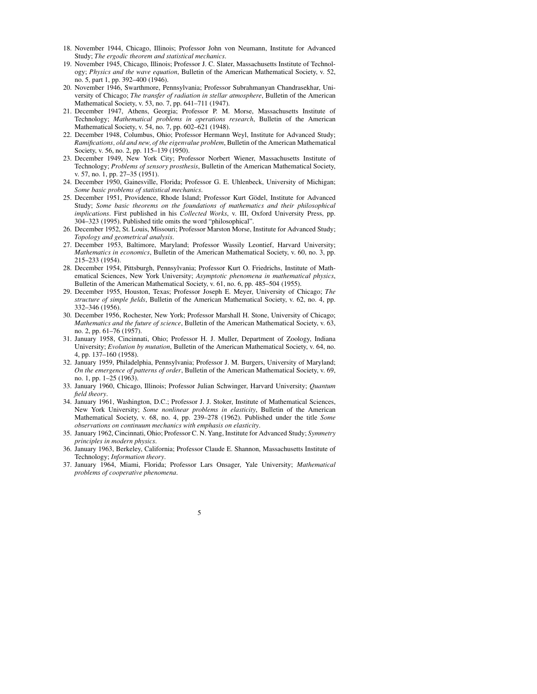- 18. November 1944, Chicago, Illinois; Professor John von Neumann, Institute for Advanced Study; *The ergodic theorem and statistical mechanics*.
- 19. November 1945, Chicago, Illinois; Professor J. C. Slater, Massachusetts Institute of Technology; *Physics and the wave equation*, Bulletin of the American Mathematical Society, v. 52, no. 5, part 1, pp. 392–400 (1946).
- 20. November 1946, Swarthmore, Pennsylvania; Professor Subrahmanyan Chandrasekhar, University of Chicago; *The transfer of radiation in stellar atmosphere*, Bulletin of the American Mathematical Society, v. 53, no. 7, pp. 641–711 (1947).
- 21. December 1947, Athens, Georgia; Professor P. M. Morse, Massachusetts Institute of Technology; *Mathematical problems in operations research*, Bulletin of the American Mathematical Society, v. 54, no. 7, pp. 602–621 (1948).
- 22. December 1948, Columbus, Ohio; Professor Hermann Weyl, Institute for Advanced Study; *Ramifications, old and new, of the eigenvalue problem*, Bulletin of the American Mathematical Society, v. 56, no. 2, pp. 115–139 (1950).
- 23. December 1949, New York City; Professor Norbert Wiener, Massachusetts Institute of Technology; *Problems of sensory prosthesis*, Bulletin of the American Mathematical Society, v. 57, no. 1, pp. 27–35 (1951).
- 24. December 1950, Gainesville, Florida; Professor G. E. Uhlenbeck, University of Michigan; *Some basic problems of statistical mechanics*.
- 25. December 1951, Providence, Rhode Island; Professor Kurt Gödel, Institute for Advanced Study; *Some basic theorems on the foundations of mathematics and their philosophical implications*. First published in his *Collected Works*, v. III, Oxford University Press, pp. 304–323 (1995). Published title omits the word "philosophical".
- 26. December 1952, St. Louis, Missouri; Professor Marston Morse, Institute for Advanced Study; *Topology and geometrical analysis*.
- 27. December 1953, Baltimore, Maryland; Professor Wassily Leontief, Harvard University; *Mathematics in economics*, Bulletin of the American Mathematical Society, v. 60, no. 3, pp. 215–233 (1954).
- 28. December 1954, Pittsburgh, Pennsylvania; Professor Kurt O. Friedrichs, Institute of Mathematical Sciences, New York University; *Asymptotic phenomena in mathematical physics*, Bulletin of the American Mathematical Society, v. 61, no. 6, pp. 485–504 (1955).
- 29. December 1955, Houston, Texas; Professor Joseph E. Meyer, University of Chicago; *The structure of simple fields*, Bulletin of the American Mathematical Society, v. 62, no. 4, pp. 332–346 (1956).
- 30. December 1956, Rochester, New York; Professor Marshall H. Stone, University of Chicago; *Mathematics and the future of science*, Bulletin of the American Mathematical Society, v. 63, no. 2, pp. 61–76 (1957).
- 31. January 1958, Cincinnati, Ohio; Professor H. J. Muller, Department of Zoology, Indiana University; *Evolution by mutation*, Bulletin of the American Mathematical Society, v. 64, no. 4, pp. 137–160 (1958).
- 32. January 1959, Philadelphia, Pennsylvania; Professor J. M. Burgers, University of Maryland; *On the emergence of patterns of order*, Bulletin of the American Mathematical Society, v. 69, no. 1, pp. 1–25 (1963).
- 33. January 1960, Chicago, Illinois; Professor Julian Schwinger, Harvard University; *Quantum field theory*.
- 34. January 1961, Washington, D.C.; Professor J. J. Stoker, Institute of Mathematical Sciences, New York University; *Some nonlinear problems in elasticity*, Bulletin of the American Mathematical Society, v. 68, no. 4, pp. 239–278 (1962). Published under the title *Some observations on continuum mechanics with emphasis on elasticity*.
- 35. January 1962, Cincinnati, Ohio; Professor C. N. Yang, Institute for Advanced Study; *Symmetry principles in modern physics*.
- 36. January 1963, Berkeley, California; Professor Claude E. Shannon, Massachusetts Institute of Technology; *Information theory*.
- 37. January 1964, Miami, Florida; Professor Lars Onsager, Yale University; *Mathematical problems of cooperative phenomena*.

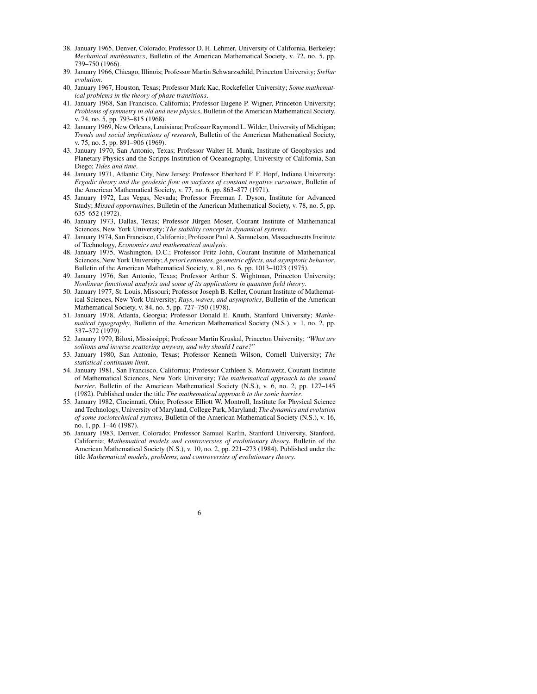- 38. January 1965, Denver, Colorado; Professor D. H. Lehmer, University of California, Berkeley; *Mechanical mathematics*, Bulletin of the American Mathematical Society, v. 72, no. 5, pp. 739–750 (1966).
- 39. January 1966, Chicago, Illinois; Professor Martin Schwarzschild, Princeton University; *Stellar evolution*.
- 40. January 1967, Houston, Texas; Professor Mark Kac, Rockefeller University; *Some mathematical problems in the theory of phase transitions*.
- 41. January 1968, San Francisco, California; Professor Eugene P. Wigner, Princeton University; *Problems of symmetry in old and new physics*, Bulletin of the American Mathematical Society, v. 74, no. 5, pp. 793–815 (1968).
- 42. January 1969, New Orleans, Louisiana; Professor Raymond L. Wilder, University of Michigan; *Trends and social implications of research*, Bulletin of the American Mathematical Society, v. 75, no. 5, pp. 891–906 (1969).
- 43. January 1970, San Antonio, Texas; Professor Walter H. Munk, Institute of Geophysics and Planetary Physics and the Scripps Institution of Oceanography, University of California, San Diego; *Tides and time*.
- 44. January 1971, Atlantic City, New Jersey; Professor Eberhard F. F. Hopf, Indiana University; *Ergodic theory and the geodesic flow on surfaces of constant negative curvature*, Bulletin of the American Mathematical Society, v. 77, no. 6, pp. 863–877 (1971).
- 45. January 1972, Las Vegas, Nevada; Professor Freeman J. Dyson, Institute for Advanced Study; *Missed opportunities*, Bulletin of the American Mathematical Society, v. 78, no. 5, pp. 635–652 (1972).
- 46. January 1973, Dallas, Texas; Professor Jurgen Moser, Courant Institute of Mathematical ¨ Sciences, New York University; *The stability concept in dynamical systems*.
- 47. January 1974, San Francisco, California; Professor Paul A. Samuelson, Massachusetts Institute of Technology, *Economics and mathematical analysis*.
- 48. January 1975, Washington, D.C.; Professor Fritz John, Courant Institute of Mathematical Sciences, New York University; *A priori estimates, geometric effects, and asymptotic behavior*, Bulletin of the American Mathematical Society, v. 81, no. 6, pp. 1013–1023 (1975).
- 49. January 1976, San Antonio, Texas; Professor Arthur S. Wightman, Princeton University; *Nonlinear functional analysis and some of its applications in quantum field theory*.
- 50. January 1977, St. Louis, Missouri; Professor Joseph B. Keller, Courant Institute of Mathematical Sciences, New York University; *Rays, waves, and asymptotics*, Bulletin of the American Mathematical Society, v. 84, no. 5, pp. 727–750 (1978).
- 51. January 1978, Atlanta, Georgia; Professor Donald E. Knuth, Stanford University; *Mathematical typography*, Bulletin of the American Mathematical Society (N.S.), v. 1, no. 2, pp. 337–372 (1979).
- 52. January 1979, Biloxi, Mississippi; Professor Martin Kruskal, Princeton University; *"What are solitons and inverse scattering anyway, and why should I care?"*
- 53. January 1980, San Antonio, Texas; Professor Kenneth Wilson, Cornell University; *The statistical continuum limit*.
- 54. January 1981, San Francisco, California; Professor Cathleen S. Morawetz, Courant Institute of Mathematical Sciences, New York University; *The mathematical approach to the sound barrier*, Bulletin of the American Mathematical Society (N.S.), v. 6, no. 2, pp. 127–145 (1982). Published under the title *The mathematical approach to the sonic barrier*.
- 55. January 1982, Cincinnati, Ohio; Professor Elliott W. Montroll, Institute for Physical Science and Technology, University of Maryland, College Park, Maryland; *The dynamics and evolution of some sociotechnical systems*, Bulletin of the American Mathematical Society (N.S.), v. 16, no. 1, pp. 1–46 (1987).
- 56. January 1983, Denver, Colorado; Professor Samuel Karlin, Stanford University, Stanford, California; *Mathematical models and controversies of evolutionary theory*, Bulletin of the American Mathematical Society (N.S.), v. 10, no. 2, pp. 221–273 (1984). Published under the title *Mathematical models, problems, and controversies of evolutionary theory*.

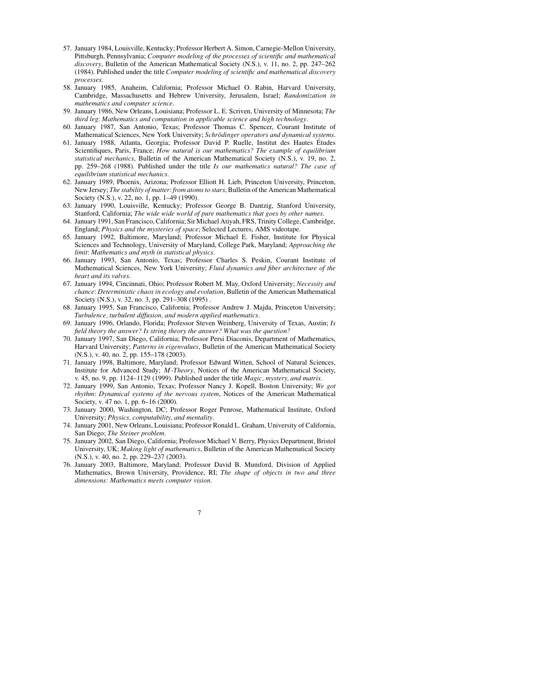- 57. January 1984, Louisville, Kentucky; Professor Herbert A. Simon, Carnegie-Mellon University, Pittsburgh, Pennsylvania; *Computer modeling of the processes of scientific and mathematical discovery*, Bulletin of the American Mathematical Society (N.S.), v. 11, no. 2, pp. 247–262 (1984). Published under the title *Computer modeling of scientific and mathematical discovery processes*.
- 58. January 1985, Anaheim, California; Professor Michael O. Rabin, Harvard University, Cambridge, Massachusetts and Hebrew University, Jerusalem, Israel; *Randomization in mathematics and computer science*.
- 59. January 1986, New Orleans, Louisiana; Professor L. E. Scriven, University of Minnesota; *The third leg*: *Mathematics and computation in applicable science and high technology*.
- 60. January 1987, San Antonio, Texas; Professor Thomas C. Spencer, Courant Institute of Mathematical Sciences, New York University; *Schrödinger operators and dynamical systems*.
- 61. January 1988, Atlanta, Georgia; Professor David P. Ruelle, Institut des Hautes Etudes ´ Scientifiques, Paris, France; *How natural is our mathematics? The example of equilibrium statistical mechanics*, Bulletin of the American Mathematical Society (N.S.), v. 19, no. 2, pp. 259–268 (1988). Published under the title *Is our mathematics natural? The case of equilibrium statistical mechanics*.
- 62. January 1989, Phoenix, Arizona; Professor Elliott H. Lieb, Princeton University, Princeton, New Jersey; *The stability of matter*: *from atoms to stars*, Bulletin of the American Mathematical Society (N.S.), v. 22, no. 1, pp. 1–49 (1990).
- 63. January 1990, Louisville, Kentucky; Professor George B. Dantzig, Stanford University, Stanford, California; *The wide wide world of pure mathematics that goes by other names*.
- 64. January 1991, San Francisco, California; Sir Michael Atiyah, FRS, Trinity College, Cambridge, England; *Physics and the mysteries of space*; Selected Lectures, AMS videotape.
- 65. January 1992, Baltimore, Maryland; Professor Michael E. Fisher, Institute for Physical Sciences and Technology, University of Maryland, College Park, Maryland; *Approaching the limit*: *Mathematics and myth in statistical physics*.
- 66. January 1993, San Antonio, Texas; Professor Charles S. Peskin, Courant Institute of Mathematical Sciences, New York University; *Fluid dynamics and fiber architecture of the heart and its valves*.
- 67. January 1994, Cincinnati, Ohio; Professor Robert M. May, Oxford University; *Necessity and chance*: *Deterministic chaos in ecology and evolution*, Bulletin of the American Mathematical Society (N.S.), v. 32, no. 3, pp. 291–308 (1995) .
- 68. January 1995, San Francisco, California; Professor Andrew J. Majda, Princeton University; *Turbulence, turbulent diffusion, and modern applied mathematics*.
- 69. January 1996, Orlando, Florida; Professor Steven Weinberg, University of Texas, Austin; *Is field theory the answer? Is string theory the answer? What was the question?*
- 70. January 1997, San Diego, California; Professor Persi Diaconis, Department of Mathematics, Harvard University; *Patterns in eigenvalues*, Bulletin of the American Mathematical Society (N.S.), v. 40, no. 2, pp. 155–178 (2003).
- 71. January 1998, Baltimore, Maryland; Professor Edward Witten, School of Natural Sciences, Institute for Advanced Study; *M-Theory*, Notices of the American Mathematical Society, v. 45, no. 9, pp. 1124–1129 (1999). Published under the title *Magic, mystery, and matrix*.
- 72. January 1999, San Antonio, Texas; Professor Nancy J. Kopell, Boston University; *We got rhythm*: *Dynamical systems of the nervous system*, Notices of the American Mathematical Society, v. 47 no. 1, pp. 6–16 (2000).
- 73. January 2000, Washington, DC; Professor Roger Penrose, Mathematical Institute, Oxford University; *Physics, computability, and mentality*.
- 74. January 2001, New Orleans, Louisiana; Professor Ronald L. Graham, University of California, San Diego; *The Steiner problem*.
- 75. January 2002, San Diego, California; Professor Michael V. Berry, Physics Department, Bristol University, UK; *Making light of mathematics*, Bulletin of the American Mathematical Society (N.S.), v. 40, no. 2, pp. 229–237 (2003).
- 76. January 2003, Baltimore, Maryland; Professor David B. Mumford, Division of Applied Mathematics, Brown University, Providence, RI; *The shape of objects in two and three dimensions: Mathematics meets computer vision*.